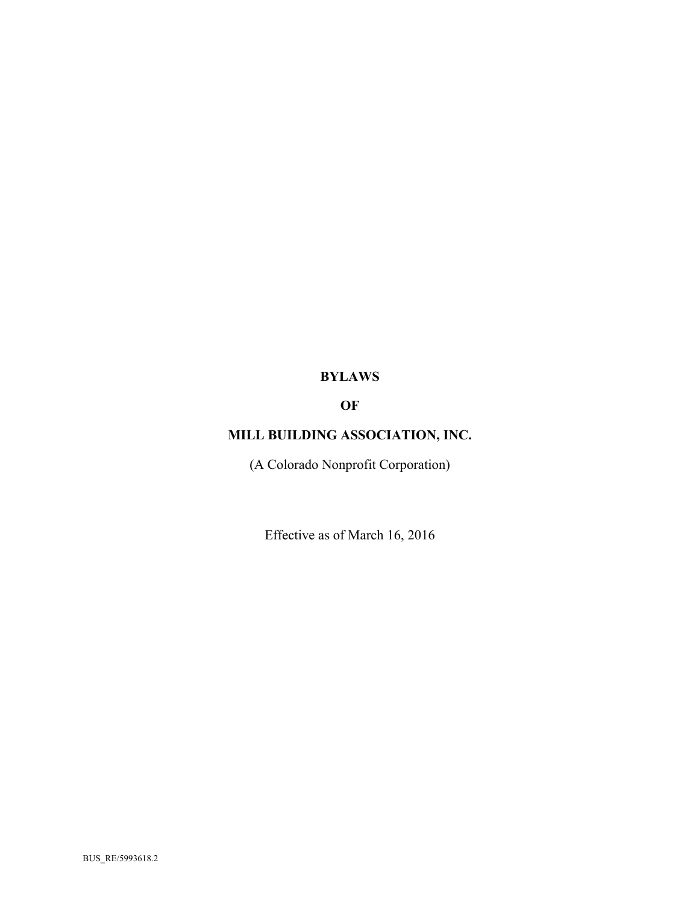# **BYLAWS**

# **OF**

# **MILL BUILDING ASSOCIATION, INC.**

(A Colorado Nonprofit Corporation)

Effective as of March 16, 2016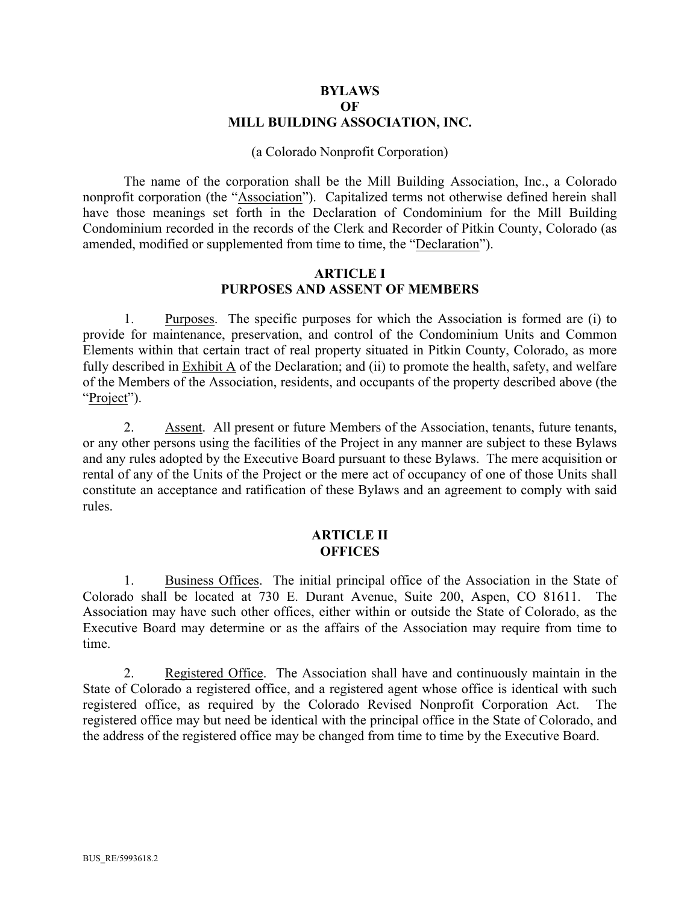#### **BYLAWS OF MILL BUILDING ASSOCIATION, INC.**

#### (a Colorado Nonprofit Corporation)

The name of the corporation shall be the Mill Building Association, Inc., a Colorado nonprofit corporation (the "Association"). Capitalized terms not otherwise defined herein shall have those meanings set forth in the Declaration of Condominium for the Mill Building Condominium recorded in the records of the Clerk and Recorder of Pitkin County, Colorado (as amended, modified or supplemented from time to time, the "Declaration").

#### **ARTICLE I PURPOSES AND ASSENT OF MEMBERS**

1. Purposes. The specific purposes for which the Association is formed are (i) to provide for maintenance, preservation, and control of the Condominium Units and Common Elements within that certain tract of real property situated in Pitkin County, Colorado, as more fully described in Exhibit A of the Declaration; and (ii) to promote the health, safety, and welfare of the Members of the Association, residents, and occupants of the property described above (the "Project").

2. Assent. All present or future Members of the Association, tenants, future tenants, or any other persons using the facilities of the Project in any manner are subject to these Bylaws and any rules adopted by the Executive Board pursuant to these Bylaws. The mere acquisition or rental of any of the Units of the Project or the mere act of occupancy of one of those Units shall constitute an acceptance and ratification of these Bylaws and an agreement to comply with said rules.

#### **ARTICLE II OFFICES**

1. Business Offices. The initial principal office of the Association in the State of Colorado shall be located at 730 E. Durant Avenue, Suite 200, Aspen, CO 81611. The Association may have such other offices, either within or outside the State of Colorado, as the Executive Board may determine or as the affairs of the Association may require from time to time.

2. Registered Office. The Association shall have and continuously maintain in the State of Colorado a registered office, and a registered agent whose office is identical with such registered office, as required by the Colorado Revised Nonprofit Corporation Act. The registered office may but need be identical with the principal office in the State of Colorado, and the address of the registered office may be changed from time to time by the Executive Board.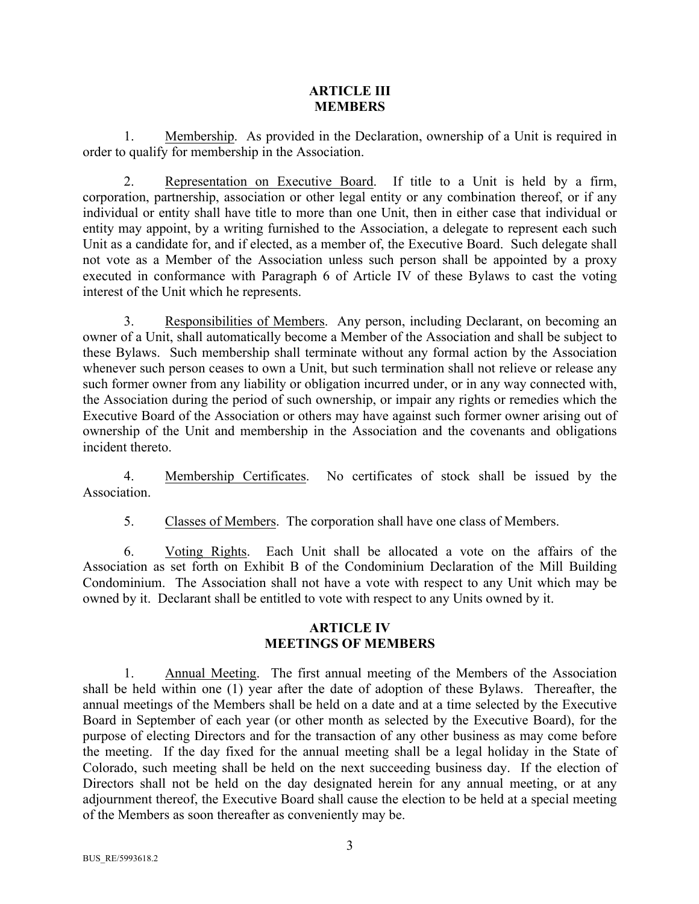## **ARTICLE III MEMBERS**

1. Membership. As provided in the Declaration, ownership of a Unit is required in order to qualify for membership in the Association.

2. Representation on Executive Board. If title to a Unit is held by a firm, corporation, partnership, association or other legal entity or any combination thereof, or if any individual or entity shall have title to more than one Unit, then in either case that individual or entity may appoint, by a writing furnished to the Association, a delegate to represent each such Unit as a candidate for, and if elected, as a member of, the Executive Board. Such delegate shall not vote as a Member of the Association unless such person shall be appointed by a proxy executed in conformance with Paragraph 6 of Article IV of these Bylaws to cast the voting interest of the Unit which he represents.

3. Responsibilities of Members. Any person, including Declarant, on becoming an owner of a Unit, shall automatically become a Member of the Association and shall be subject to these Bylaws. Such membership shall terminate without any formal action by the Association whenever such person ceases to own a Unit, but such termination shall not relieve or release any such former owner from any liability or obligation incurred under, or in any way connected with, the Association during the period of such ownership, or impair any rights or remedies which the Executive Board of the Association or others may have against such former owner arising out of ownership of the Unit and membership in the Association and the covenants and obligations incident thereto.

4. Membership Certificates. No certificates of stock shall be issued by the **Association** 

5. Classes of Members. The corporation shall have one class of Members.

6. Voting Rights. Each Unit shall be allocated a vote on the affairs of the Association as set forth on Exhibit B of the Condominium Declaration of the Mill Building Condominium. The Association shall not have a vote with respect to any Unit which may be owned by it. Declarant shall be entitled to vote with respect to any Units owned by it.

## **ARTICLE IV MEETINGS OF MEMBERS**

1. Annual Meeting. The first annual meeting of the Members of the Association shall be held within one (1) year after the date of adoption of these Bylaws. Thereafter, the annual meetings of the Members shall be held on a date and at a time selected by the Executive Board in September of each year (or other month as selected by the Executive Board), for the purpose of electing Directors and for the transaction of any other business as may come before the meeting. If the day fixed for the annual meeting shall be a legal holiday in the State of Colorado, such meeting shall be held on the next succeeding business day. If the election of Directors shall not be held on the day designated herein for any annual meeting, or at any adjournment thereof, the Executive Board shall cause the election to be held at a special meeting of the Members as soon thereafter as conveniently may be.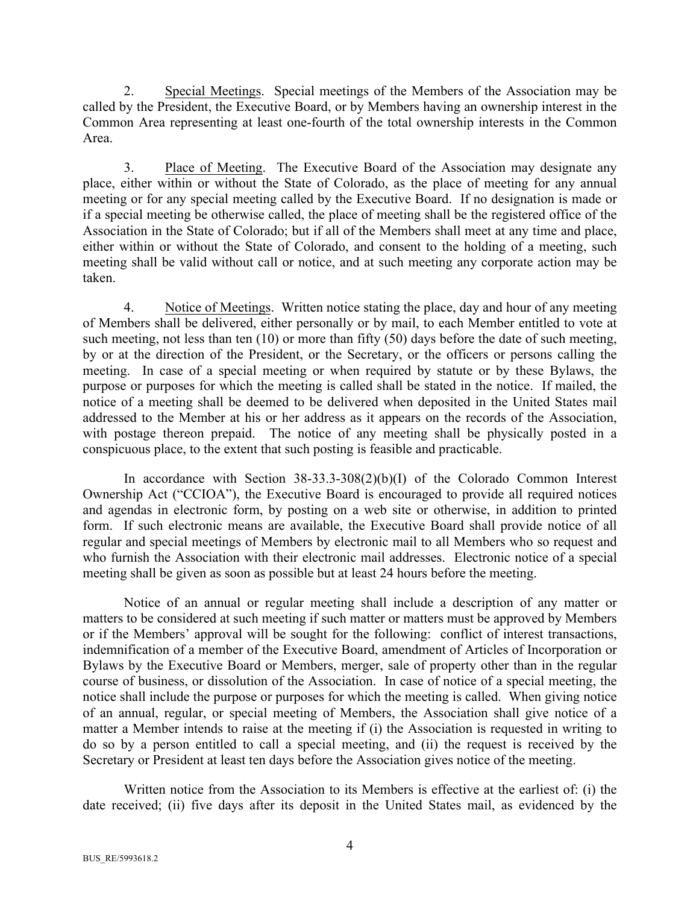2. Special Meetings. Special meetings of the Members of the Association may be called by the President, the Executive Board, or by Members having an ownership interest in the Common Area representing at least one-fourth of the total ownership interests in the Common Area.

3. Place of Meeting. The Executive Board of the Association may designate any place, either within or without the State of Colorado, as the place of meeting for any annual meeting or for any special meeting called by the Executive Board. If no designation is made or if a special meeting be otherwise called, the place of meeting shall be the registered office of the Association in the State of Colorado; but if all of the Members shall meet at any time and place, either within or without the State of Colorado, and consent to the holding of a meeting, such meeting shall be valid without call or notice, and at such meeting any corporate action may be taken.

4. Notice of Meetings. Written notice stating the place, day and hour of any meeting of Members shall be delivered, either personally or by mail, to each Member entitled to vote at such meeting, not less than ten (10) or more than fifty (50) days before the date of such meeting, by or at the direction of the President, or the Secretary, or the officers or persons calling the meeting. In case of a special meeting or when required by statute or by these Bylaws, the purpose or purposes for which the meeting is called shall be stated in the notice. If mailed, the notice of a meeting shall be deemed to be delivered when deposited in the United States mail addressed to the Member at his or her address as it appears on the records of the Association, with postage thereon prepaid. The notice of any meeting shall be physically posted in a conspicuous place, to the extent that such posting is feasible and practicable.

In accordance with Section 38-33.3-308(2)(b)(I) of the Colorado Common Interest Ownership Act ("CCIOA"), the Executive Board is encouraged to provide all required notices and agendas in electronic form, by posting on a web site or otherwise, in addition to printed form. If such electronic means are available, the Executive Board shall provide notice of all regular and special meetings of Members by electronic mail to all Members who so request and who furnish the Association with their electronic mail addresses. Electronic notice of a special meeting shall be given as soon as possible but at least 24 hours before the meeting.

Notice of an annual or regular meeting shall include a description of any matter or matters to be considered at such meeting if such matter or matters must be approved by Members or if the Members' approval will be sought for the following: conflict of interest transactions, indemnification of a member of the Executive Board, amendment of Articles of Incorporation or Bylaws by the Executive Board or Members, merger, sale of property other than in the regular course of business, or dissolution of the Association. In case of notice of a special meeting, the notice shall include the purpose or purposes for which the meeting is called. When giving notice of an annual, regular, or special meeting of Members, the Association shall give notice of a matter a Member intends to raise at the meeting if (i) the Association is requested in writing to do so by a person entitled to call a special meeting, and (ii) the request is received by the Secretary or President at least ten days before the Association gives notice of the meeting.

Written notice from the Association to its Members is effective at the earliest of: (i) the date received; (ii) five days after its deposit in the United States mail, as evidenced by the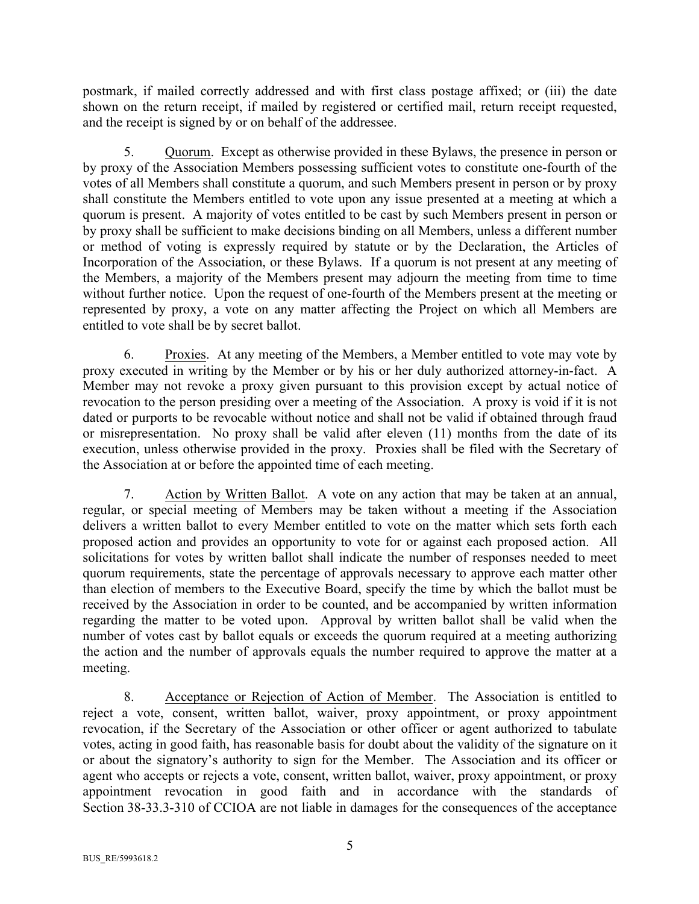postmark, if mailed correctly addressed and with first class postage affixed; or (iii) the date shown on the return receipt, if mailed by registered or certified mail, return receipt requested, and the receipt is signed by or on behalf of the addressee.

5. Quorum. Except as otherwise provided in these Bylaws, the presence in person or by proxy of the Association Members possessing sufficient votes to constitute one-fourth of the votes of all Members shall constitute a quorum, and such Members present in person or by proxy shall constitute the Members entitled to vote upon any issue presented at a meeting at which a quorum is present. A majority of votes entitled to be cast by such Members present in person or by proxy shall be sufficient to make decisions binding on all Members, unless a different number or method of voting is expressly required by statute or by the Declaration, the Articles of Incorporation of the Association, or these Bylaws. If a quorum is not present at any meeting of the Members, a majority of the Members present may adjourn the meeting from time to time without further notice. Upon the request of one-fourth of the Members present at the meeting or represented by proxy, a vote on any matter affecting the Project on which all Members are entitled to vote shall be by secret ballot.

6. Proxies. At any meeting of the Members, a Member entitled to vote may vote by proxy executed in writing by the Member or by his or her duly authorized attorney-in-fact. A Member may not revoke a proxy given pursuant to this provision except by actual notice of revocation to the person presiding over a meeting of the Association. A proxy is void if it is not dated or purports to be revocable without notice and shall not be valid if obtained through fraud or misrepresentation. No proxy shall be valid after eleven (11) months from the date of its execution, unless otherwise provided in the proxy. Proxies shall be filed with the Secretary of the Association at or before the appointed time of each meeting.

7. Action by Written Ballot. A vote on any action that may be taken at an annual, regular, or special meeting of Members may be taken without a meeting if the Association delivers a written ballot to every Member entitled to vote on the matter which sets forth each proposed action and provides an opportunity to vote for or against each proposed action. All solicitations for votes by written ballot shall indicate the number of responses needed to meet quorum requirements, state the percentage of approvals necessary to approve each matter other than election of members to the Executive Board, specify the time by which the ballot must be received by the Association in order to be counted, and be accompanied by written information regarding the matter to be voted upon. Approval by written ballot shall be valid when the number of votes cast by ballot equals or exceeds the quorum required at a meeting authorizing the action and the number of approvals equals the number required to approve the matter at a meeting.

8. Acceptance or Rejection of Action of Member. The Association is entitled to reject a vote, consent, written ballot, waiver, proxy appointment, or proxy appointment revocation, if the Secretary of the Association or other officer or agent authorized to tabulate votes, acting in good faith, has reasonable basis for doubt about the validity of the signature on it or about the signatory's authority to sign for the Member. The Association and its officer or agent who accepts or rejects a vote, consent, written ballot, waiver, proxy appointment, or proxy appointment revocation in good faith and in accordance with the standards of Section 38-33.3-310 of CCIOA are not liable in damages for the consequences of the acceptance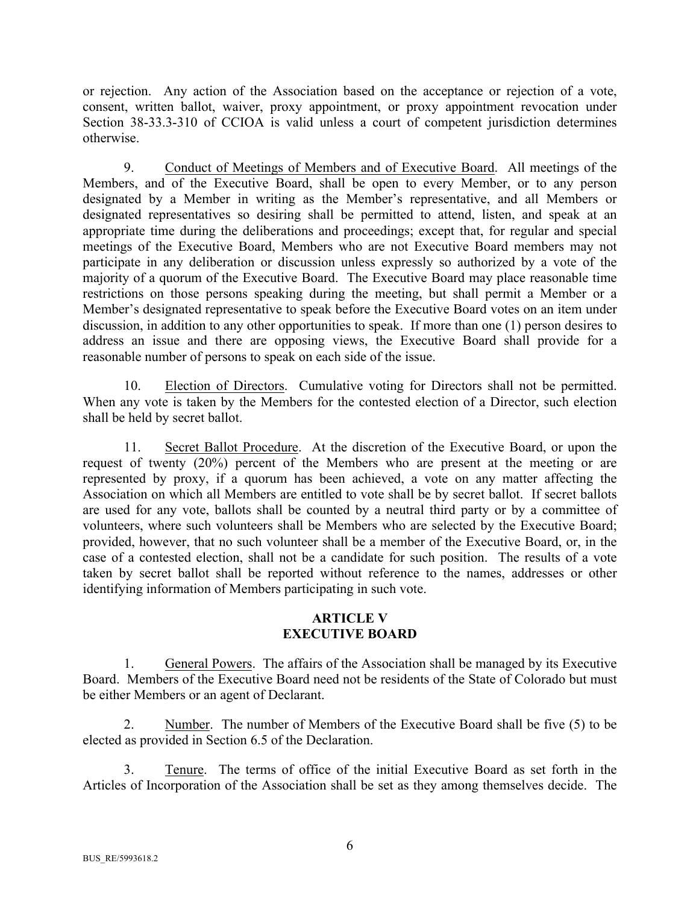or rejection. Any action of the Association based on the acceptance or rejection of a vote, consent, written ballot, waiver, proxy appointment, or proxy appointment revocation under Section 38-33.3-310 of CCIOA is valid unless a court of competent jurisdiction determines otherwise.

9. Conduct of Meetings of Members and of Executive Board. All meetings of the Members, and of the Executive Board, shall be open to every Member, or to any person designated by a Member in writing as the Member's representative, and all Members or designated representatives so desiring shall be permitted to attend, listen, and speak at an appropriate time during the deliberations and proceedings; except that, for regular and special meetings of the Executive Board, Members who are not Executive Board members may not participate in any deliberation or discussion unless expressly so authorized by a vote of the majority of a quorum of the Executive Board. The Executive Board may place reasonable time restrictions on those persons speaking during the meeting, but shall permit a Member or a Member's designated representative to speak before the Executive Board votes on an item under discussion, in addition to any other opportunities to speak. If more than one (1) person desires to address an issue and there are opposing views, the Executive Board shall provide for a reasonable number of persons to speak on each side of the issue.

10. Election of Directors. Cumulative voting for Directors shall not be permitted. When any vote is taken by the Members for the contested election of a Director, such election shall be held by secret ballot.

11. Secret Ballot Procedure. At the discretion of the Executive Board, or upon the request of twenty (20%) percent of the Members who are present at the meeting or are represented by proxy, if a quorum has been achieved, a vote on any matter affecting the Association on which all Members are entitled to vote shall be by secret ballot. If secret ballots are used for any vote, ballots shall be counted by a neutral third party or by a committee of volunteers, where such volunteers shall be Members who are selected by the Executive Board; provided, however, that no such volunteer shall be a member of the Executive Board, or, in the case of a contested election, shall not be a candidate for such position. The results of a vote taken by secret ballot shall be reported without reference to the names, addresses or other identifying information of Members participating in such vote.

# **ARTICLE V EXECUTIVE BOARD**

1. General Powers. The affairs of the Association shall be managed by its Executive Board. Members of the Executive Board need not be residents of the State of Colorado but must be either Members or an agent of Declarant.

2. Number. The number of Members of the Executive Board shall be five (5) to be elected as provided in Section 6.5 of the Declaration.

3. Tenure. The terms of office of the initial Executive Board as set forth in the Articles of Incorporation of the Association shall be set as they among themselves decide. The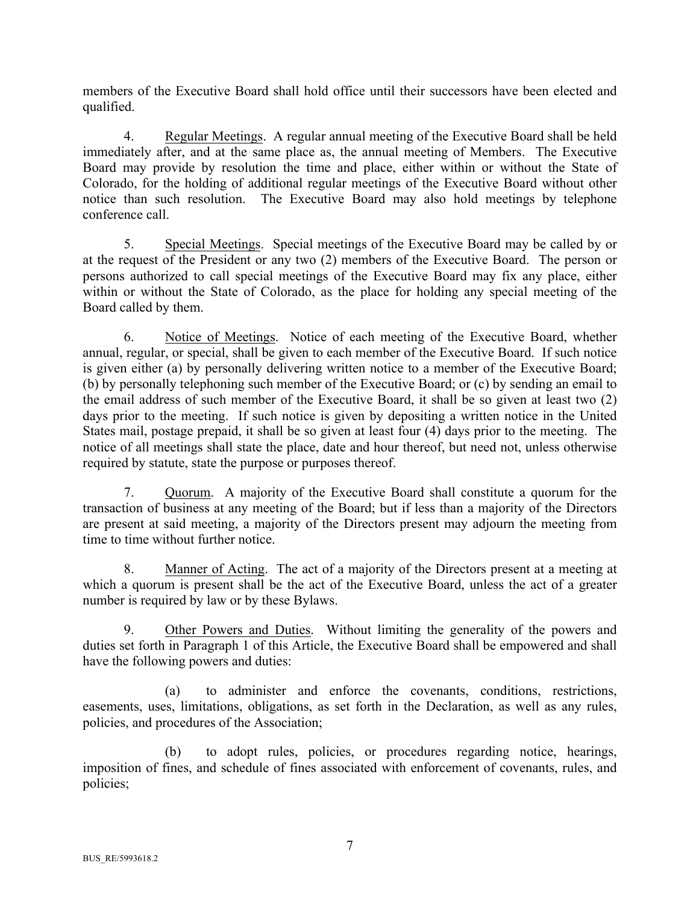members of the Executive Board shall hold office until their successors have been elected and qualified.

4. Regular Meetings. A regular annual meeting of the Executive Board shall be held immediately after, and at the same place as, the annual meeting of Members. The Executive Board may provide by resolution the time and place, either within or without the State of Colorado, for the holding of additional regular meetings of the Executive Board without other notice than such resolution. The Executive Board may also hold meetings by telephone conference call.

5. Special Meetings. Special meetings of the Executive Board may be called by or at the request of the President or any two (2) members of the Executive Board. The person or persons authorized to call special meetings of the Executive Board may fix any place, either within or without the State of Colorado, as the place for holding any special meeting of the Board called by them.

6. Notice of Meetings. Notice of each meeting of the Executive Board, whether annual, regular, or special, shall be given to each member of the Executive Board. If such notice is given either (a) by personally delivering written notice to a member of the Executive Board; (b) by personally telephoning such member of the Executive Board; or (c) by sending an email to the email address of such member of the Executive Board, it shall be so given at least two (2) days prior to the meeting. If such notice is given by depositing a written notice in the United States mail, postage prepaid, it shall be so given at least four (4) days prior to the meeting. The notice of all meetings shall state the place, date and hour thereof, but need not, unless otherwise required by statute, state the purpose or purposes thereof.

7. Quorum. A majority of the Executive Board shall constitute a quorum for the transaction of business at any meeting of the Board; but if less than a majority of the Directors are present at said meeting, a majority of the Directors present may adjourn the meeting from time to time without further notice.

8. Manner of Acting. The act of a majority of the Directors present at a meeting at which a quorum is present shall be the act of the Executive Board, unless the act of a greater number is required by law or by these Bylaws.

9. Other Powers and Duties. Without limiting the generality of the powers and duties set forth in Paragraph 1 of this Article, the Executive Board shall be empowered and shall have the following powers and duties:

(a) to administer and enforce the covenants, conditions, restrictions, easements, uses, limitations, obligations, as set forth in the Declaration, as well as any rules, policies, and procedures of the Association;

(b) to adopt rules, policies, or procedures regarding notice, hearings, imposition of fines, and schedule of fines associated with enforcement of covenants, rules, and policies;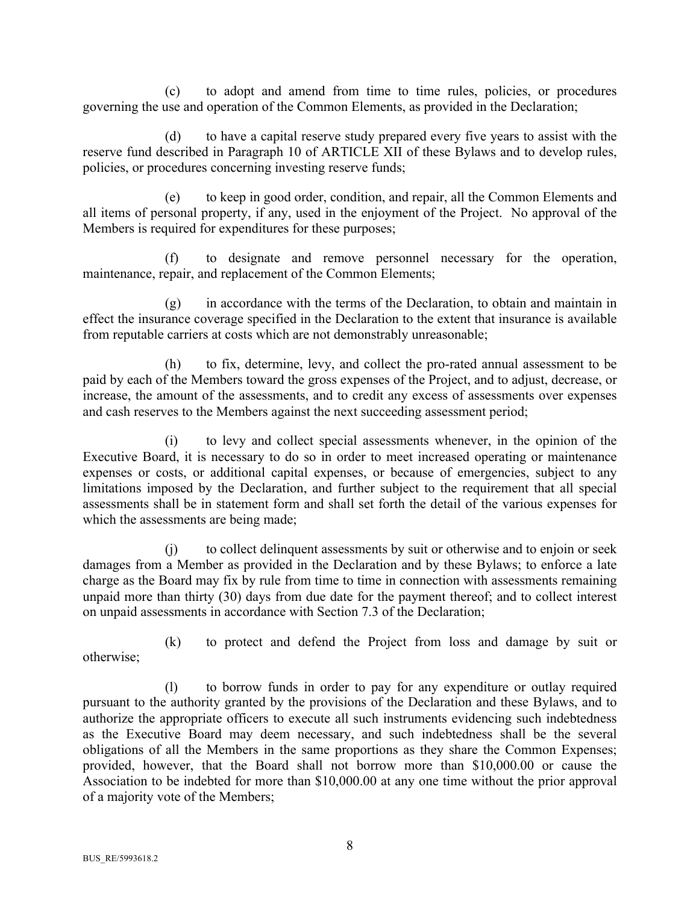(c) to adopt and amend from time to time rules, policies, or procedures governing the use and operation of the Common Elements, as provided in the Declaration;

(d) to have a capital reserve study prepared every five years to assist with the reserve fund described in Paragraph 10 of ARTICLE XII of these Bylaws and to develop rules, policies, or procedures concerning investing reserve funds;

(e) to keep in good order, condition, and repair, all the Common Elements and all items of personal property, if any, used in the enjoyment of the Project. No approval of the Members is required for expenditures for these purposes;

(f) to designate and remove personnel necessary for the operation, maintenance, repair, and replacement of the Common Elements;

(g) in accordance with the terms of the Declaration, to obtain and maintain in effect the insurance coverage specified in the Declaration to the extent that insurance is available from reputable carriers at costs which are not demonstrably unreasonable;

(h) to fix, determine, levy, and collect the pro-rated annual assessment to be paid by each of the Members toward the gross expenses of the Project, and to adjust, decrease, or increase, the amount of the assessments, and to credit any excess of assessments over expenses and cash reserves to the Members against the next succeeding assessment period;

(i) to levy and collect special assessments whenever, in the opinion of the Executive Board, it is necessary to do so in order to meet increased operating or maintenance expenses or costs, or additional capital expenses, or because of emergencies, subject to any limitations imposed by the Declaration, and further subject to the requirement that all special assessments shall be in statement form and shall set forth the detail of the various expenses for which the assessments are being made;

(j) to collect delinquent assessments by suit or otherwise and to enjoin or seek damages from a Member as provided in the Declaration and by these Bylaws; to enforce a late charge as the Board may fix by rule from time to time in connection with assessments remaining unpaid more than thirty (30) days from due date for the payment thereof; and to collect interest on unpaid assessments in accordance with Section 7.3 of the Declaration;

(k) to protect and defend the Project from loss and damage by suit or otherwise;

(l) to borrow funds in order to pay for any expenditure or outlay required pursuant to the authority granted by the provisions of the Declaration and these Bylaws, and to authorize the appropriate officers to execute all such instruments evidencing such indebtedness as the Executive Board may deem necessary, and such indebtedness shall be the several obligations of all the Members in the same proportions as they share the Common Expenses; provided, however, that the Board shall not borrow more than \$10,000.00 or cause the Association to be indebted for more than \$10,000.00 at any one time without the prior approval of a majority vote of the Members;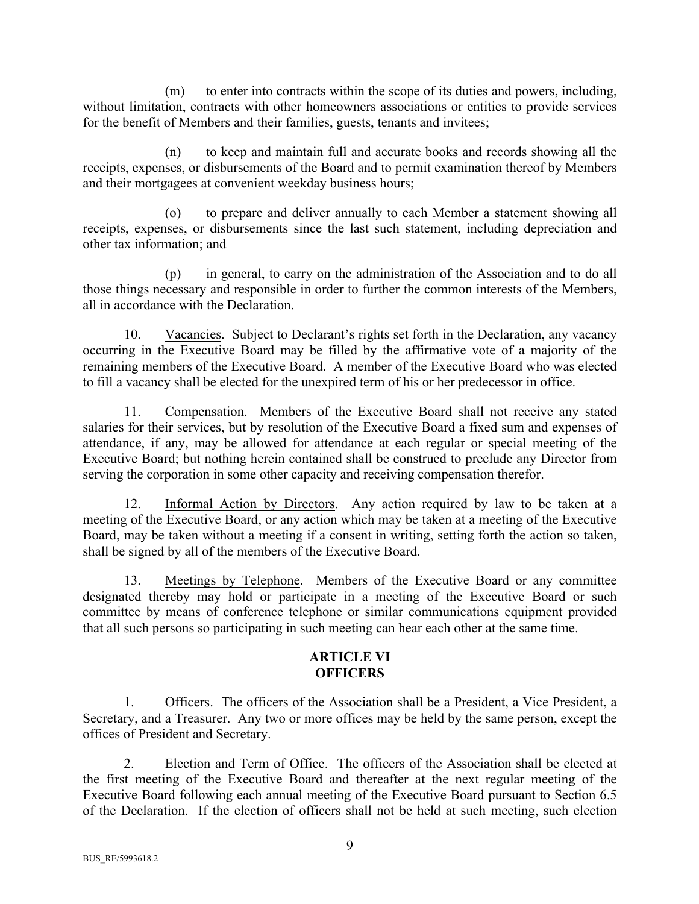(m) to enter into contracts within the scope of its duties and powers, including, without limitation, contracts with other homeowners associations or entities to provide services for the benefit of Members and their families, guests, tenants and invitees;

(n) to keep and maintain full and accurate books and records showing all the receipts, expenses, or disbursements of the Board and to permit examination thereof by Members and their mortgagees at convenient weekday business hours;

(o) to prepare and deliver annually to each Member a statement showing all receipts, expenses, or disbursements since the last such statement, including depreciation and other tax information; and

(p) in general, to carry on the administration of the Association and to do all those things necessary and responsible in order to further the common interests of the Members, all in accordance with the Declaration.

10. Vacancies. Subject to Declarant's rights set forth in the Declaration, any vacancy occurring in the Executive Board may be filled by the affirmative vote of a majority of the remaining members of the Executive Board. A member of the Executive Board who was elected to fill a vacancy shall be elected for the unexpired term of his or her predecessor in office.

11. Compensation. Members of the Executive Board shall not receive any stated salaries for their services, but by resolution of the Executive Board a fixed sum and expenses of attendance, if any, may be allowed for attendance at each regular or special meeting of the Executive Board; but nothing herein contained shall be construed to preclude any Director from serving the corporation in some other capacity and receiving compensation therefor.

12. Informal Action by Directors. Any action required by law to be taken at a meeting of the Executive Board, or any action which may be taken at a meeting of the Executive Board, may be taken without a meeting if a consent in writing, setting forth the action so taken, shall be signed by all of the members of the Executive Board.

13. Meetings by Telephone. Members of the Executive Board or any committee designated thereby may hold or participate in a meeting of the Executive Board or such committee by means of conference telephone or similar communications equipment provided that all such persons so participating in such meeting can hear each other at the same time.

## **ARTICLE VI OFFICERS**

1. Officers. The officers of the Association shall be a President, a Vice President, a Secretary, and a Treasurer. Any two or more offices may be held by the same person, except the offices of President and Secretary.

2. Election and Term of Office. The officers of the Association shall be elected at the first meeting of the Executive Board and thereafter at the next regular meeting of the Executive Board following each annual meeting of the Executive Board pursuant to Section 6.5 of the Declaration. If the election of officers shall not be held at such meeting, such election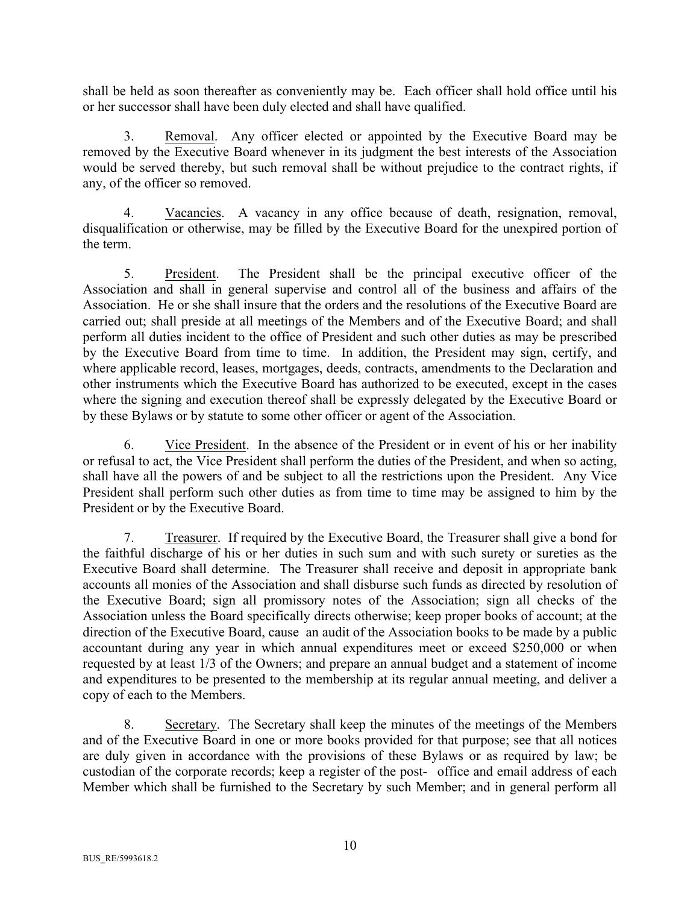shall be held as soon thereafter as conveniently may be. Each officer shall hold office until his or her successor shall have been duly elected and shall have qualified.

3. Removal. Any officer elected or appointed by the Executive Board may be removed by the Executive Board whenever in its judgment the best interests of the Association would be served thereby, but such removal shall be without prejudice to the contract rights, if any, of the officer so removed.

4. Vacancies. A vacancy in any office because of death, resignation, removal, disqualification or otherwise, may be filled by the Executive Board for the unexpired portion of the term.

5. President. The President shall be the principal executive officer of the Association and shall in general supervise and control all of the business and affairs of the Association. He or she shall insure that the orders and the resolutions of the Executive Board are carried out; shall preside at all meetings of the Members and of the Executive Board; and shall perform all duties incident to the office of President and such other duties as may be prescribed by the Executive Board from time to time. In addition, the President may sign, certify, and where applicable record, leases, mortgages, deeds, contracts, amendments to the Declaration and other instruments which the Executive Board has authorized to be executed, except in the cases where the signing and execution thereof shall be expressly delegated by the Executive Board or by these Bylaws or by statute to some other officer or agent of the Association.

6. Vice President. In the absence of the President or in event of his or her inability or refusal to act, the Vice President shall perform the duties of the President, and when so acting, shall have all the powers of and be subject to all the restrictions upon the President. Any Vice President shall perform such other duties as from time to time may be assigned to him by the President or by the Executive Board.

7. Treasurer. If required by the Executive Board, the Treasurer shall give a bond for the faithful discharge of his or her duties in such sum and with such surety or sureties as the Executive Board shall determine. The Treasurer shall receive and deposit in appropriate bank accounts all monies of the Association and shall disburse such funds as directed by resolution of the Executive Board; sign all promissory notes of the Association; sign all checks of the Association unless the Board specifically directs otherwise; keep proper books of account; at the direction of the Executive Board, cause an audit of the Association books to be made by a public accountant during any year in which annual expenditures meet or exceed \$250,000 or when requested by at least 1/3 of the Owners; and prepare an annual budget and a statement of income and expenditures to be presented to the membership at its regular annual meeting, and deliver a copy of each to the Members.

8. Secretary. The Secretary shall keep the minutes of the meetings of the Members and of the Executive Board in one or more books provided for that purpose; see that all notices are duly given in accordance with the provisions of these Bylaws or as required by law; be custodian of the corporate records; keep a register of the post- office and email address of each Member which shall be furnished to the Secretary by such Member; and in general perform all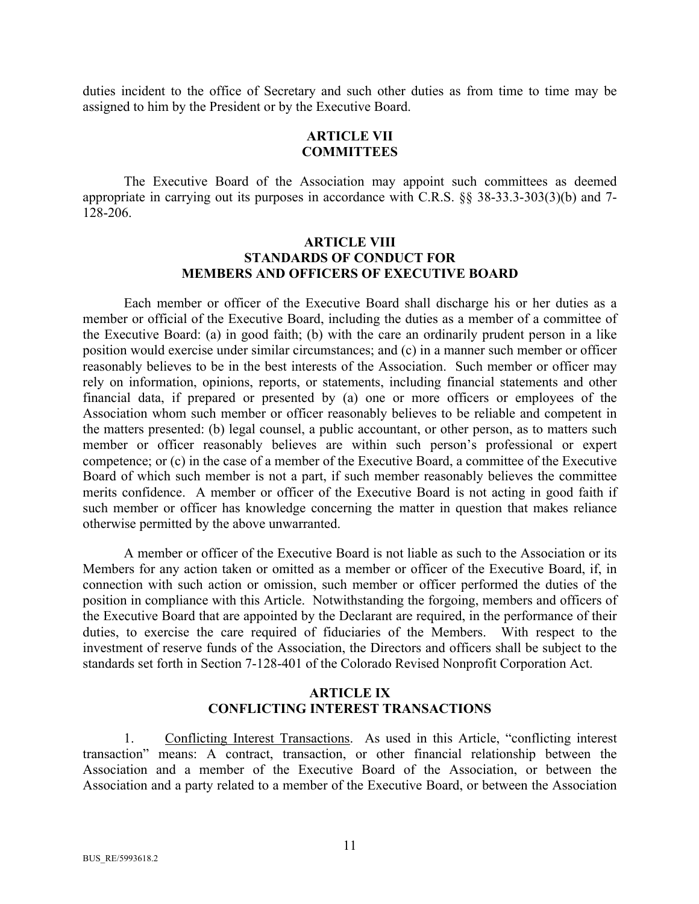duties incident to the office of Secretary and such other duties as from time to time may be assigned to him by the President or by the Executive Board.

## **ARTICLE VII COMMITTEES**

The Executive Board of the Association may appoint such committees as deemed appropriate in carrying out its purposes in accordance with C.R.S. §§ 38-33.3-303(3)(b) and 7- 128-206.

#### **ARTICLE VIII STANDARDS OF CONDUCT FOR MEMBERS AND OFFICERS OF EXECUTIVE BOARD**

Each member or officer of the Executive Board shall discharge his or her duties as a member or official of the Executive Board, including the duties as a member of a committee of the Executive Board: (a) in good faith; (b) with the care an ordinarily prudent person in a like position would exercise under similar circumstances; and (c) in a manner such member or officer reasonably believes to be in the best interests of the Association. Such member or officer may rely on information, opinions, reports, or statements, including financial statements and other financial data, if prepared or presented by (a) one or more officers or employees of the Association whom such member or officer reasonably believes to be reliable and competent in the matters presented: (b) legal counsel, a public accountant, or other person, as to matters such member or officer reasonably believes are within such person's professional or expert competence; or (c) in the case of a member of the Executive Board, a committee of the Executive Board of which such member is not a part, if such member reasonably believes the committee merits confidence. A member or officer of the Executive Board is not acting in good faith if such member or officer has knowledge concerning the matter in question that makes reliance otherwise permitted by the above unwarranted.

A member or officer of the Executive Board is not liable as such to the Association or its Members for any action taken or omitted as a member or officer of the Executive Board, if, in connection with such action or omission, such member or officer performed the duties of the position in compliance with this Article. Notwithstanding the forgoing, members and officers of the Executive Board that are appointed by the Declarant are required, in the performance of their duties, to exercise the care required of fiduciaries of the Members. With respect to the investment of reserve funds of the Association, the Directors and officers shall be subject to the standards set forth in Section 7-128-401 of the Colorado Revised Nonprofit Corporation Act.

#### **ARTICLE IX CONFLICTING INTEREST TRANSACTIONS**

1. Conflicting Interest Transactions. As used in this Article, "conflicting interest transaction" means: A contract, transaction, or other financial relationship between the Association and a member of the Executive Board of the Association, or between the Association and a party related to a member of the Executive Board, or between the Association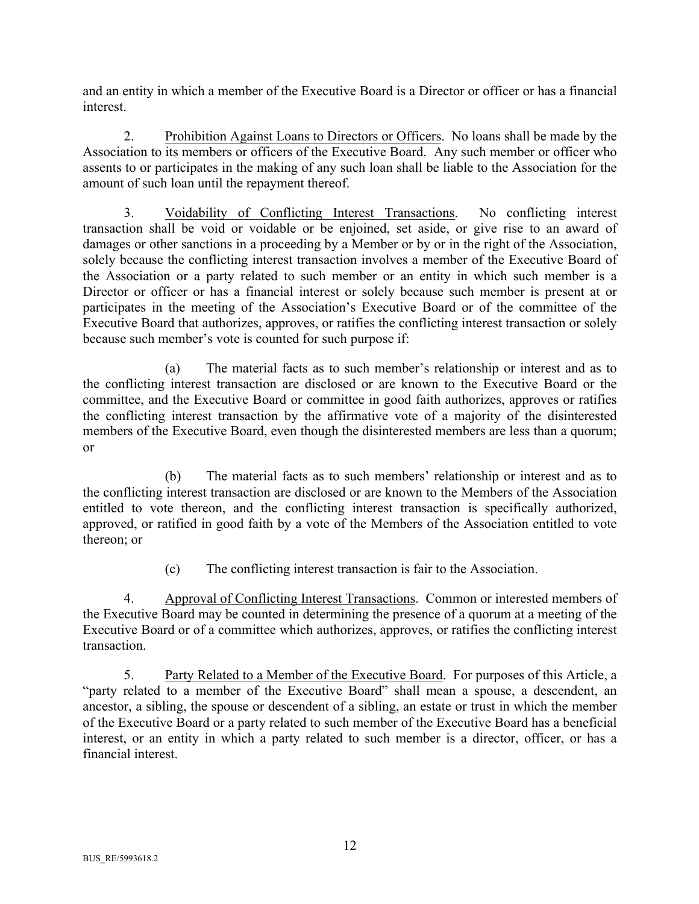and an entity in which a member of the Executive Board is a Director or officer or has a financial interest.

2. Prohibition Against Loans to Directors or Officers. No loans shall be made by the Association to its members or officers of the Executive Board. Any such member or officer who assents to or participates in the making of any such loan shall be liable to the Association for the amount of such loan until the repayment thereof.

3. Voidability of Conflicting Interest Transactions. No conflicting interest transaction shall be void or voidable or be enjoined, set aside, or give rise to an award of damages or other sanctions in a proceeding by a Member or by or in the right of the Association, solely because the conflicting interest transaction involves a member of the Executive Board of the Association or a party related to such member or an entity in which such member is a Director or officer or has a financial interest or solely because such member is present at or participates in the meeting of the Association's Executive Board or of the committee of the Executive Board that authorizes, approves, or ratifies the conflicting interest transaction or solely because such member's vote is counted for such purpose if:

(a) The material facts as to such member's relationship or interest and as to the conflicting interest transaction are disclosed or are known to the Executive Board or the committee, and the Executive Board or committee in good faith authorizes, approves or ratifies the conflicting interest transaction by the affirmative vote of a majority of the disinterested members of the Executive Board, even though the disinterested members are less than a quorum; or

(b) The material facts as to such members' relationship or interest and as to the conflicting interest transaction are disclosed or are known to the Members of the Association entitled to vote thereon, and the conflicting interest transaction is specifically authorized, approved, or ratified in good faith by a vote of the Members of the Association entitled to vote thereon; or

(c) The conflicting interest transaction is fair to the Association.

4. Approval of Conflicting Interest Transactions. Common or interested members of the Executive Board may be counted in determining the presence of a quorum at a meeting of the Executive Board or of a committee which authorizes, approves, or ratifies the conflicting interest transaction.

5. Party Related to a Member of the Executive Board. For purposes of this Article, a "party related to a member of the Executive Board" shall mean a spouse, a descendent, an ancestor, a sibling, the spouse or descendent of a sibling, an estate or trust in which the member of the Executive Board or a party related to such member of the Executive Board has a beneficial interest, or an entity in which a party related to such member is a director, officer, or has a financial interest.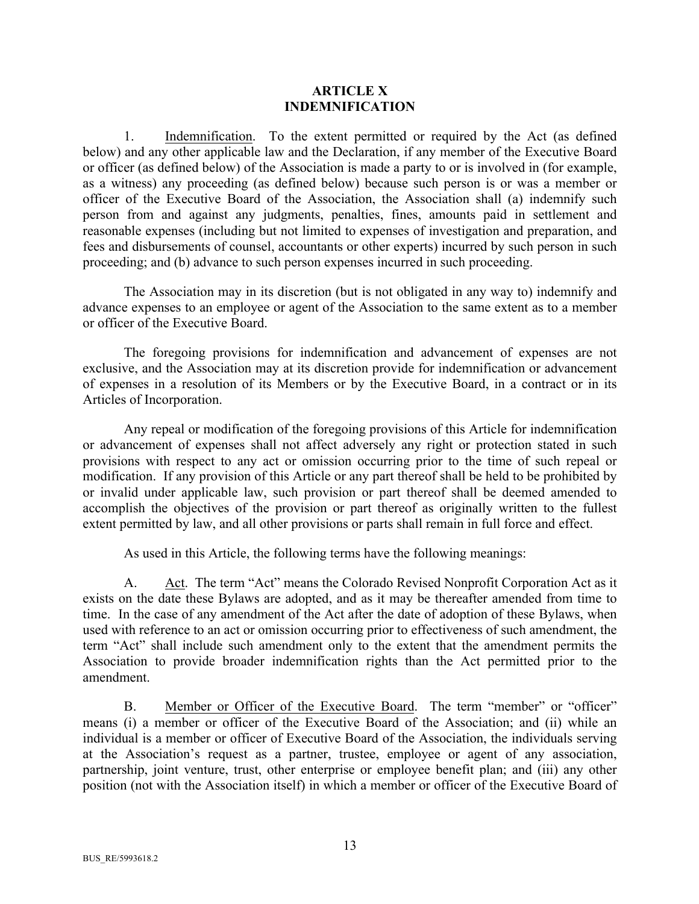#### **ARTICLE X INDEMNIFICATION**

1. Indemnification. To the extent permitted or required by the Act (as defined below) and any other applicable law and the Declaration, if any member of the Executive Board or officer (as defined below) of the Association is made a party to or is involved in (for example, as a witness) any proceeding (as defined below) because such person is or was a member or officer of the Executive Board of the Association, the Association shall (a) indemnify such person from and against any judgments, penalties, fines, amounts paid in settlement and reasonable expenses (including but not limited to expenses of investigation and preparation, and fees and disbursements of counsel, accountants or other experts) incurred by such person in such proceeding; and (b) advance to such person expenses incurred in such proceeding.

The Association may in its discretion (but is not obligated in any way to) indemnify and advance expenses to an employee or agent of the Association to the same extent as to a member or officer of the Executive Board.

The foregoing provisions for indemnification and advancement of expenses are not exclusive, and the Association may at its discretion provide for indemnification or advancement of expenses in a resolution of its Members or by the Executive Board, in a contract or in its Articles of Incorporation.

Any repeal or modification of the foregoing provisions of this Article for indemnification or advancement of expenses shall not affect adversely any right or protection stated in such provisions with respect to any act or omission occurring prior to the time of such repeal or modification. If any provision of this Article or any part thereof shall be held to be prohibited by or invalid under applicable law, such provision or part thereof shall be deemed amended to accomplish the objectives of the provision or part thereof as originally written to the fullest extent permitted by law, and all other provisions or parts shall remain in full force and effect.

As used in this Article, the following terms have the following meanings:

A. Act. The term "Act" means the Colorado Revised Nonprofit Corporation Act as it exists on the date these Bylaws are adopted, and as it may be thereafter amended from time to time. In the case of any amendment of the Act after the date of adoption of these Bylaws, when used with reference to an act or omission occurring prior to effectiveness of such amendment, the term "Act" shall include such amendment only to the extent that the amendment permits the Association to provide broader indemnification rights than the Act permitted prior to the amendment.

B. Member or Officer of the Executive Board. The term "member" or "officer" means (i) a member or officer of the Executive Board of the Association; and (ii) while an individual is a member or officer of Executive Board of the Association, the individuals serving at the Association's request as a partner, trustee, employee or agent of any association, partnership, joint venture, trust, other enterprise or employee benefit plan; and (iii) any other position (not with the Association itself) in which a member or officer of the Executive Board of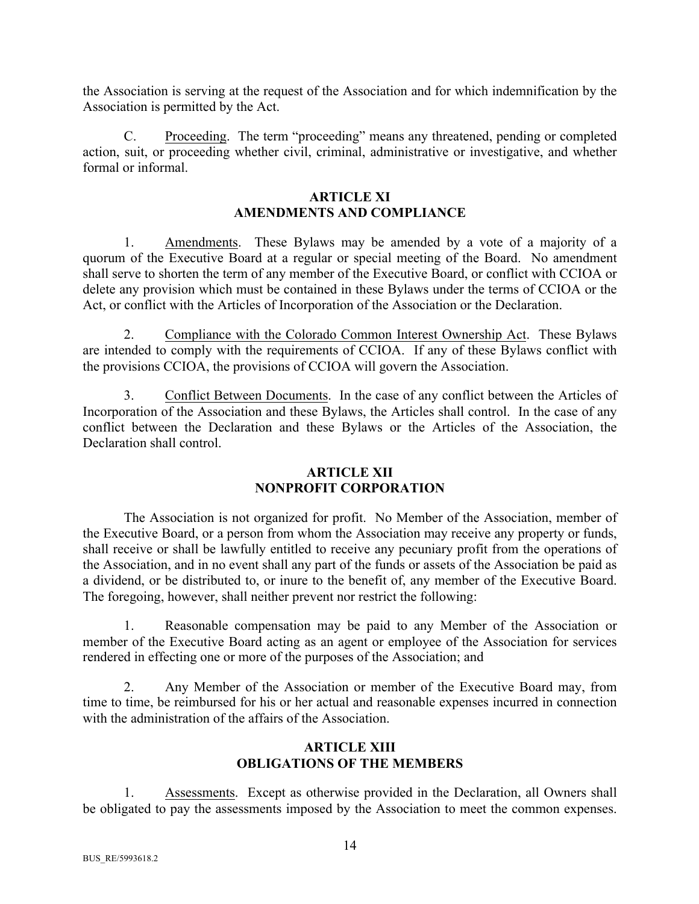the Association is serving at the request of the Association and for which indemnification by the Association is permitted by the Act.

C. Proceeding. The term "proceeding" means any threatened, pending or completed action, suit, or proceeding whether civil, criminal, administrative or investigative, and whether formal or informal.

# **ARTICLE XI AMENDMENTS AND COMPLIANCE**

1. Amendments. These Bylaws may be amended by a vote of a majority of a quorum of the Executive Board at a regular or special meeting of the Board. No amendment shall serve to shorten the term of any member of the Executive Board, or conflict with CCIOA or delete any provision which must be contained in these Bylaws under the terms of CCIOA or the Act, or conflict with the Articles of Incorporation of the Association or the Declaration.

2. Compliance with the Colorado Common Interest Ownership Act. These Bylaws are intended to comply with the requirements of CCIOA. If any of these Bylaws conflict with the provisions CCIOA, the provisions of CCIOA will govern the Association.

3. Conflict Between Documents. In the case of any conflict between the Articles of Incorporation of the Association and these Bylaws, the Articles shall control. In the case of any conflict between the Declaration and these Bylaws or the Articles of the Association, the Declaration shall control.

#### **ARTICLE XII NONPROFIT CORPORATION**

The Association is not organized for profit. No Member of the Association, member of the Executive Board, or a person from whom the Association may receive any property or funds, shall receive or shall be lawfully entitled to receive any pecuniary profit from the operations of the Association, and in no event shall any part of the funds or assets of the Association be paid as a dividend, or be distributed to, or inure to the benefit of, any member of the Executive Board. The foregoing, however, shall neither prevent nor restrict the following:

1. Reasonable compensation may be paid to any Member of the Association or member of the Executive Board acting as an agent or employee of the Association for services rendered in effecting one or more of the purposes of the Association; and

2. Any Member of the Association or member of the Executive Board may, from time to time, be reimbursed for his or her actual and reasonable expenses incurred in connection with the administration of the affairs of the Association.

# **ARTICLE XIII OBLIGATIONS OF THE MEMBERS**

1. Assessments. Except as otherwise provided in the Declaration, all Owners shall be obligated to pay the assessments imposed by the Association to meet the common expenses.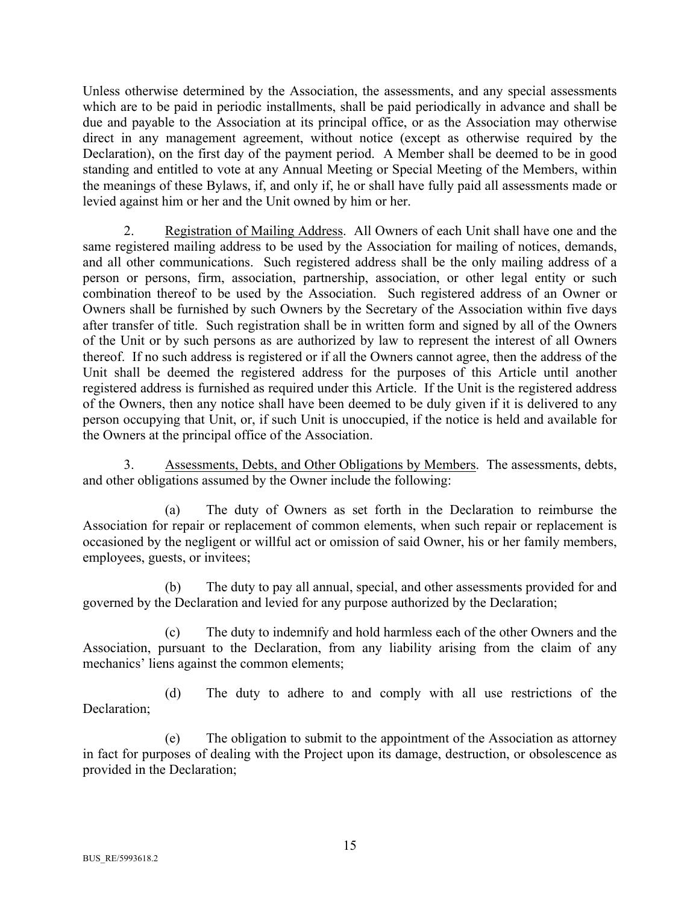Unless otherwise determined by the Association, the assessments, and any special assessments which are to be paid in periodic installments, shall be paid periodically in advance and shall be due and payable to the Association at its principal office, or as the Association may otherwise direct in any management agreement, without notice (except as otherwise required by the Declaration), on the first day of the payment period. A Member shall be deemed to be in good standing and entitled to vote at any Annual Meeting or Special Meeting of the Members, within the meanings of these Bylaws, if, and only if, he or shall have fully paid all assessments made or levied against him or her and the Unit owned by him or her.

2. Registration of Mailing Address. All Owners of each Unit shall have one and the same registered mailing address to be used by the Association for mailing of notices, demands, and all other communications. Such registered address shall be the only mailing address of a person or persons, firm, association, partnership, association, or other legal entity or such combination thereof to be used by the Association. Such registered address of an Owner or Owners shall be furnished by such Owners by the Secretary of the Association within five days after transfer of title. Such registration shall be in written form and signed by all of the Owners of the Unit or by such persons as are authorized by law to represent the interest of all Owners thereof. If no such address is registered or if all the Owners cannot agree, then the address of the Unit shall be deemed the registered address for the purposes of this Article until another registered address is furnished as required under this Article. If the Unit is the registered address of the Owners, then any notice shall have been deemed to be duly given if it is delivered to any person occupying that Unit, or, if such Unit is unoccupied, if the notice is held and available for the Owners at the principal office of the Association.

3. Assessments, Debts, and Other Obligations by Members. The assessments, debts, and other obligations assumed by the Owner include the following:

(a) The duty of Owners as set forth in the Declaration to reimburse the Association for repair or replacement of common elements, when such repair or replacement is occasioned by the negligent or willful act or omission of said Owner, his or her family members, employees, guests, or invitees;

(b) The duty to pay all annual, special, and other assessments provided for and governed by the Declaration and levied for any purpose authorized by the Declaration;

(c) The duty to indemnify and hold harmless each of the other Owners and the Association, pursuant to the Declaration, from any liability arising from the claim of any mechanics' liens against the common elements;

(d) The duty to adhere to and comply with all use restrictions of the Declaration;

(e) The obligation to submit to the appointment of the Association as attorney in fact for purposes of dealing with the Project upon its damage, destruction, or obsolescence as provided in the Declaration;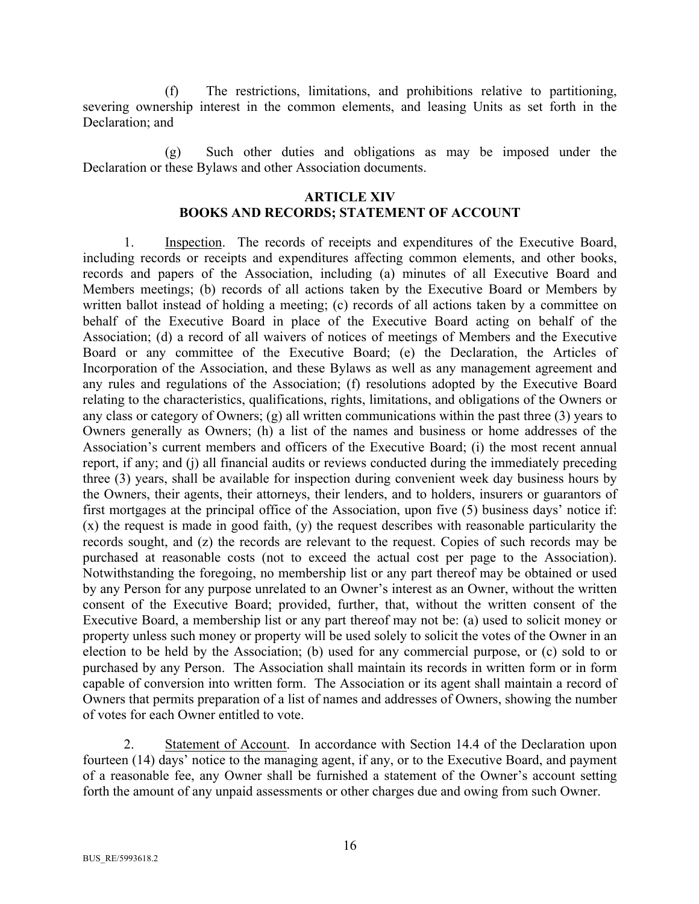(f) The restrictions, limitations, and prohibitions relative to partitioning, severing ownership interest in the common elements, and leasing Units as set forth in the Declaration; and

(g) Such other duties and obligations as may be imposed under the Declaration or these Bylaws and other Association documents.

#### **ARTICLE XIV**

# **BOOKS AND RECORDS; STATEMENT OF ACCOUNT**

1. Inspection. The records of receipts and expenditures of the Executive Board, including records or receipts and expenditures affecting common elements, and other books, records and papers of the Association, including (a) minutes of all Executive Board and Members meetings; (b) records of all actions taken by the Executive Board or Members by written ballot instead of holding a meeting; (c) records of all actions taken by a committee on behalf of the Executive Board in place of the Executive Board acting on behalf of the Association; (d) a record of all waivers of notices of meetings of Members and the Executive Board or any committee of the Executive Board; (e) the Declaration, the Articles of Incorporation of the Association, and these Bylaws as well as any management agreement and any rules and regulations of the Association; (f) resolutions adopted by the Executive Board relating to the characteristics, qualifications, rights, limitations, and obligations of the Owners or any class or category of Owners; (g) all written communications within the past three (3) years to Owners generally as Owners; (h) a list of the names and business or home addresses of the Association's current members and officers of the Executive Board; (i) the most recent annual report, if any; and (j) all financial audits or reviews conducted during the immediately preceding three (3) years, shall be available for inspection during convenient week day business hours by the Owners, their agents, their attorneys, their lenders, and to holders, insurers or guarantors of first mortgages at the principal office of the Association, upon five (5) business days' notice if: (x) the request is made in good faith, (y) the request describes with reasonable particularity the records sought, and (z) the records are relevant to the request. Copies of such records may be purchased at reasonable costs (not to exceed the actual cost per page to the Association). Notwithstanding the foregoing, no membership list or any part thereof may be obtained or used by any Person for any purpose unrelated to an Owner's interest as an Owner, without the written consent of the Executive Board; provided, further, that, without the written consent of the Executive Board, a membership list or any part thereof may not be: (a) used to solicit money or property unless such money or property will be used solely to solicit the votes of the Owner in an election to be held by the Association; (b) used for any commercial purpose, or (c) sold to or purchased by any Person. The Association shall maintain its records in written form or in form capable of conversion into written form. The Association or its agent shall maintain a record of Owners that permits preparation of a list of names and addresses of Owners, showing the number of votes for each Owner entitled to vote.

2. Statement of Account. In accordance with Section 14.4 of the Declaration upon fourteen (14) days' notice to the managing agent, if any, or to the Executive Board, and payment of a reasonable fee, any Owner shall be furnished a statement of the Owner's account setting forth the amount of any unpaid assessments or other charges due and owing from such Owner.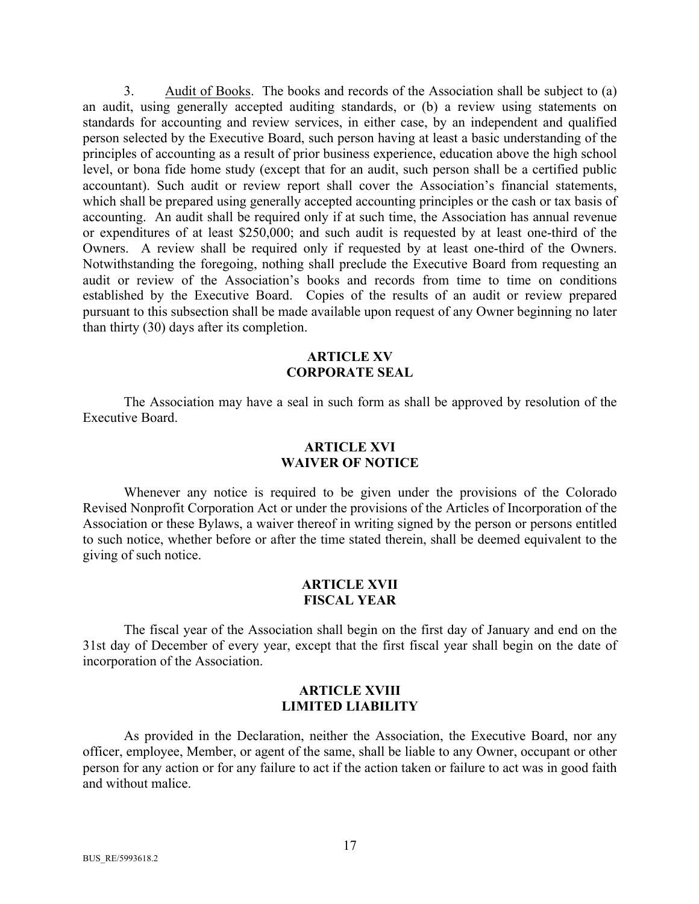3. Audit of Books. The books and records of the Association shall be subject to (a) an audit, using generally accepted auditing standards, or (b) a review using statements on standards for accounting and review services, in either case, by an independent and qualified person selected by the Executive Board, such person having at least a basic understanding of the principles of accounting as a result of prior business experience, education above the high school level, or bona fide home study (except that for an audit, such person shall be a certified public accountant). Such audit or review report shall cover the Association's financial statements, which shall be prepared using generally accepted accounting principles or the cash or tax basis of accounting. An audit shall be required only if at such time, the Association has annual revenue or expenditures of at least \$250,000; and such audit is requested by at least one-third of the Owners. A review shall be required only if requested by at least one-third of the Owners. Notwithstanding the foregoing, nothing shall preclude the Executive Board from requesting an audit or review of the Association's books and records from time to time on conditions established by the Executive Board. Copies of the results of an audit or review prepared pursuant to this subsection shall be made available upon request of any Owner beginning no later than thirty (30) days after its completion.

#### **ARTICLE XV CORPORATE SEAL**

The Association may have a seal in such form as shall be approved by resolution of the Executive Board.

## **ARTICLE XVI WAIVER OF NOTICE**

Whenever any notice is required to be given under the provisions of the Colorado Revised Nonprofit Corporation Act or under the provisions of the Articles of Incorporation of the Association or these Bylaws, a waiver thereof in writing signed by the person or persons entitled to such notice, whether before or after the time stated therein, shall be deemed equivalent to the giving of such notice.

#### **ARTICLE XVII FISCAL YEAR**

The fiscal year of the Association shall begin on the first day of January and end on the 31st day of December of every year, except that the first fiscal year shall begin on the date of incorporation of the Association.

#### **ARTICLE XVIII LIMITED LIABILITY**

As provided in the Declaration, neither the Association, the Executive Board, nor any officer, employee, Member, or agent of the same, shall be liable to any Owner, occupant or other person for any action or for any failure to act if the action taken or failure to act was in good faith and without malice.